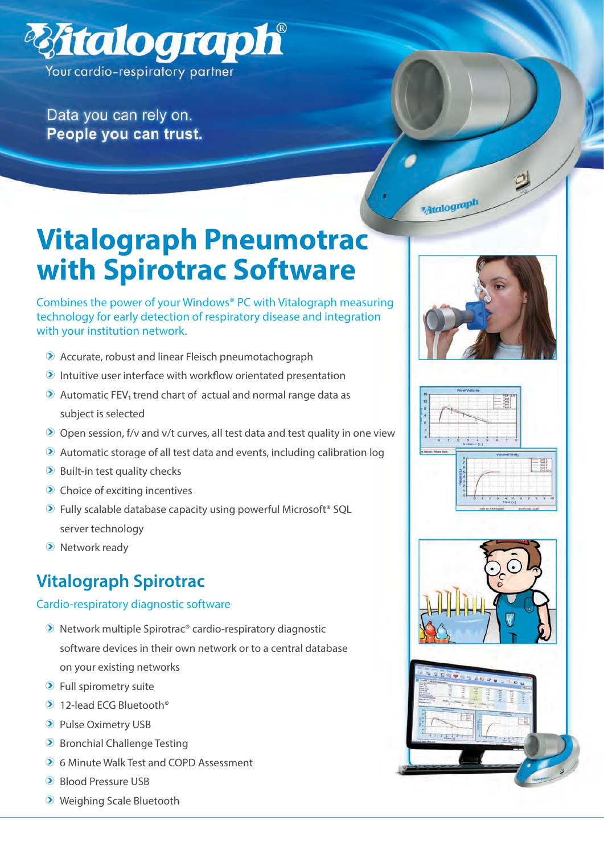

Data you can rely on. People you can trust.



# **Vitalograph Pneumotrac with Spirotrac Software**

Combines the power of your Windows® PC with Vitalograph measuring technology for early detection of respiratory disease and integration with your institution network.

- $\odot$  Accurate, robust and linear Fleisch pneumotachograph
- $\odot$  Intuitive user interface with workflow orientated presentation
- $\odot$  Automatic FEV<sub>1</sub> trend chart of actual and normal range data as subject is selected
- $\odot$  Open session, f/v and v/t curves, all test data and test quality in one view
- $\odot$  Automatic storage of all test data and events, including calibration log
- $\odot$  Built-in test quality checks
- $\odot$  Choice of exciting incentives
- $\odot$  Fully scalable database capacity using powerful Microsoft<sup>®</sup> SQL server technology
- $\odot$  Network ready

# **Vitalograph Spirotrac**

#### Cardio-respiratory diagnostic software

- $\odot$  Network multiple Spirotrac® cardio-respiratory diagnostic software devices in their own network or to a central database on your existing networks
- $\odot$  Full spirometry suite
- $\odot$  12-lead ECG Bluetooth®
- <sup>2</sup> Pulse Oximetry USB
- $\odot$  Bronchial Challenge Testing
- **2** 6 Minute Walk Test and COPD Assessment
- <sup>2</sup> Blood Pressure USB
- **2** Weighing Scale Bluetooth